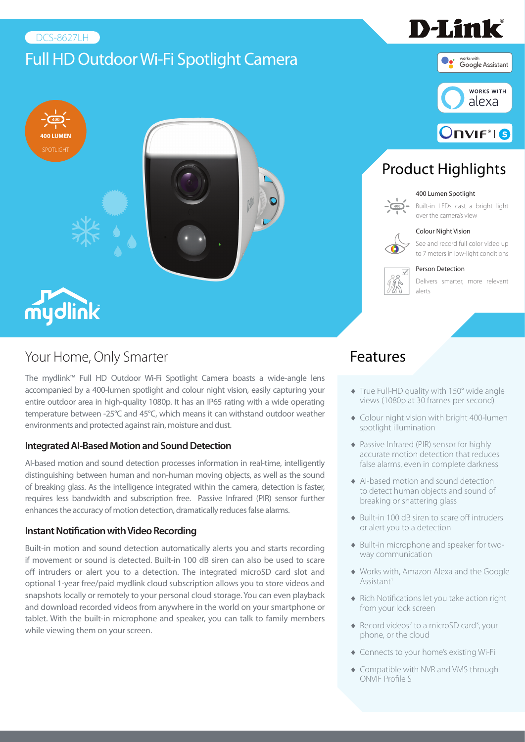#### DCS-8627LH

# Full HD Outdoor Wi-Fi Spotlight Camera



### Your Home, Only Smarter

The mydlink™ Full HD Outdoor Wi-Fi Spotlight Camera boasts a wide-angle lens accompanied by a 400-lumen spotlight and colour night vision, easily capturing your entire outdoor area in high-quality 1080p. It has an IP65 rating with a wide operating temperature between -25°C and 45°C, which means it can withstand outdoor weather environments and protected against rain, moisture and dust.

#### **Integrated AI-Based Motion and Sound Detection**

AI-based motion and sound detection processes information in real-time, intelligently distinguishing between human and non-human moving objects, as well as the sound of breaking glass. As the intelligence integrated within the camera, detection is faster, requires less bandwidth and subscription free. Passive Infrared (PIR) sensor further enhances the accuracy of motion detection, dramatically reduces false alarms.

#### **Instant Notification with Video Recording**

Built-in motion and sound detection automatically alerts you and starts recording if movement or sound is detected. Built-in 100 dB siren can also be used to scare off intruders or alert you to a detection. The integrated microSD card slot and optional 1-year free/paid mydlink cloud subscription allows you to store videos and snapshots locally or remotely to your personal cloud storage. You can even playback and download recorded videos from anywhere in the world on your smartphone or tablet. With the built-in microphone and speaker, you can talk to family members while viewing them on your screen.



D-Link®

# Product Highlights

#### 400 Lumen Spotlight

#### Built-in LEDs cast a bright light over the camera's view



See and record full color video up to 7 meters in low-light conditions

#### Person Detection



Delivers smarter, more relevant

### Features

- ♦ True Full-HD quality with 150° wide angle views (1080p at 30 frames per second)
- ♦ Colour night vision with bright 400-lumen spotlight illumination
- ♦ Passive Infrared (PIR) sensor for highly accurate motion detection that reduces false alarms, even in complete darkness
- ♦ AI-based motion and sound detection to detect human objects and sound of breaking or shattering glass
- ♦ Built-in 100 dB siren to scare off intruders or alert you to a detection
- ♦ Built-in microphone and speaker for twoway communication
- ♦ Works with, Amazon Alexa and the Google Assistant<sup>1</sup>
- ♦ Rich Notifications let you take action right from your lock screen
- $\triangleleft$  Record videos<sup>2</sup> to a microSD card<sup>3</sup>, your phone, or the cloud
- ♦ Connects to your home's existing Wi-Fi
- ♦ Compatible with NVR and VMS through ONVIF Profile S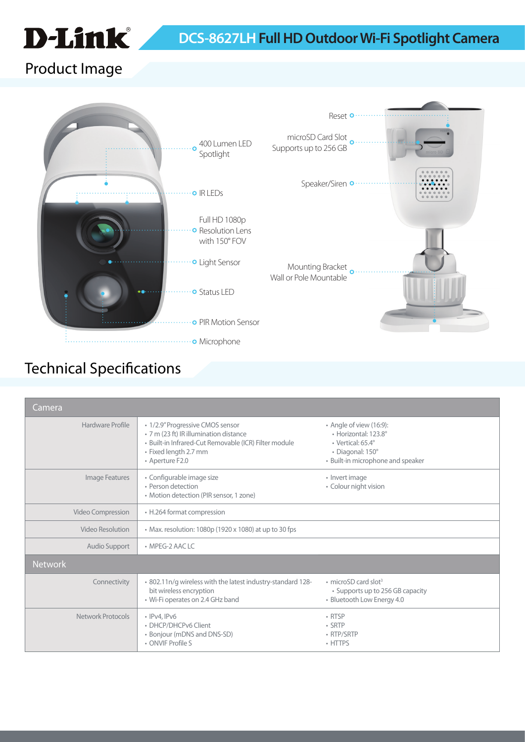

## Product Image



## Technical Specifications

| <b>Camera</b>     |                                                                                                                                                                                 |                                                                                                                               |  |
|-------------------|---------------------------------------------------------------------------------------------------------------------------------------------------------------------------------|-------------------------------------------------------------------------------------------------------------------------------|--|
| Hardware Profile  | • 1/2.9" Progressive CMOS sensor<br>• 7 m (23 ft) IR illumination distance<br>· Built-in Infrared-Cut Removable (ICR) Filter module<br>• Fixed length 2.7 mm<br>• Aperture F2.0 | • Angle of view (16:9):<br>· Horizontal: 123.8°<br>· Vertical: 65.4°<br>· Diagonal: 150°<br>• Built-in microphone and speaker |  |
| Image Features    | · Configurable image size<br>· Person detection<br>• Motion detection (PIR sensor, 1 zone)                                                                                      | • Invert image<br>• Colour night vision                                                                                       |  |
| Video Compression | • H.264 format compression                                                                                                                                                      |                                                                                                                               |  |
| Video Resolution  | • Max. resolution: 1080p (1920 x 1080) at up to 30 fps                                                                                                                          |                                                                                                                               |  |
| Audio Support     | $\bullet$ MPFG-2 AAC LC                                                                                                                                                         |                                                                                                                               |  |
| <b>Network</b>    |                                                                                                                                                                                 |                                                                                                                               |  |
| Connectivity      | . 802.11n/g wireless with the latest industry-standard 128-<br>bit wireless encryption<br>• Wi-Fi operates on 2.4 GHz band                                                      | $\cdot$ microSD card slot <sup>3</sup><br>• Supports up to 256 GB capacity<br>· Bluetooth Low Energy 4.0                      |  |
| Network Protocols | $\cdot$ IPv4, IPv6<br>• DHCP/DHCPv6 Client<br>• Bonjour (mDNS and DNS-SD)<br>• ONVIF Profile S                                                                                  | $\cdot$ RTSP<br>$\cdot$ SRTP<br>• RTP/SRTP<br>• HTTPS                                                                         |  |